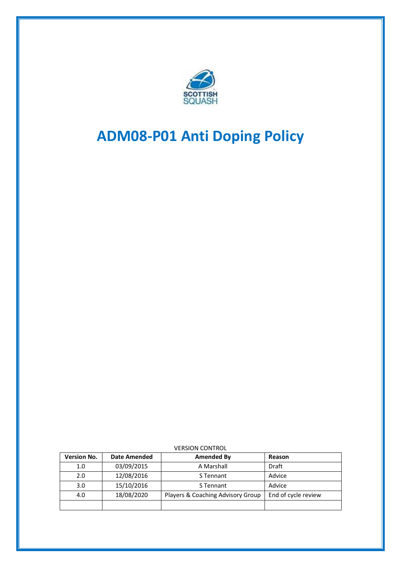

# **ADM08-P01 Anti Doping Policy**

| <b>Version No.</b> | <b>Date Amended</b> | <b>Amended By</b>                 | Reason              |
|--------------------|---------------------|-----------------------------------|---------------------|
| 1.0                | 03/09/2015          | A Marshall                        | <b>Draft</b>        |
| 2.0                | 12/08/2016          | S Tennant                         | Advice              |
| 3.0                | 15/10/2016          | S Tennant                         | Advice              |
| 4.0                | 18/08/2020          | Players & Coaching Advisory Group | End of cycle review |
|                    |                     |                                   |                     |

#### VERSION CONTROL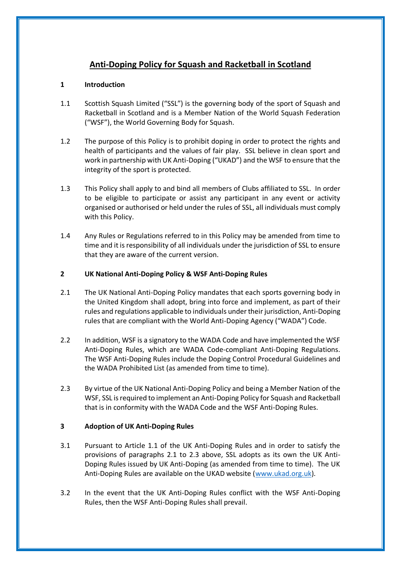## **Anti-Doping Policy for Squash and Racketball in Scotland**

### **1 Introduction**

- 1.1 Scottish Squash Limited ("SSL") is the governing body of the sport of Squash and Racketball in Scotland and is a Member Nation of the World Squash Federation ("WSF"), the World Governing Body for Squash.
- 1.2 The purpose of this Policy is to prohibit doping in order to protect the rights and health of participants and the values of fair play. SSL believe in clean sport and work in partnership with UK Anti-Doping ("UKAD") and the WSF to ensure that the integrity of the sport is protected.
- 1.3 This Policy shall apply to and bind all members of Clubs affiliated to SSL. In order to be eligible to participate or assist any participant in any event or activity organised or authorised or held under the rules of SSL, all individuals must comply with this Policy.
- 1.4 Any Rules or Regulations referred to in this Policy may be amended from time to time and it is responsibility of all individuals under the jurisdiction of SSL to ensure that they are aware of the current version.

#### **2 UK National Anti-Doping Policy & WSF Anti-Doping Rules**

- 2.1 The UK National Anti-Doping Policy mandates that each sports governing body in the United Kingdom shall adopt, bring into force and implement, as part of their rules and regulations applicable to individuals under their jurisdiction, Anti-Doping rules that are compliant with the World Anti-Doping Agency ("WADA") Code.
- 2.2 In addition, WSF is a signatory to the WADA Code and have implemented the WSF Anti-Doping Rules, which are WADA Code-compliant Anti-Doping Regulations. The WSF Anti-Doping Rules include the Doping Control Procedural Guidelines and the WADA Prohibited List (as amended from time to time).
- 2.3 By virtue of the UK National Anti-Doping Policy and being a Member Nation of the WSF, SSL is required to implement an Anti-Doping Policy for Squash and Racketball that is in conformity with the WADA Code and the WSF Anti-Doping Rules.

#### **3 Adoption of UK Anti-Doping Rules**

- 3.1 Pursuant to Article 1.1 of the UK Anti-Doping Rules and in order to satisfy the provisions of paragraphs 2.1 to 2.3 above, SSL adopts as its own the UK Anti-Doping Rules issued by UK Anti-Doping (as amended from time to time). The UK Anti-Doping Rules are available on the UKAD website [\(www.ukad.org.uk\)](http://www.ukad.org.uk/).
- 3.2 In the event that the UK Anti-Doping Rules conflict with the WSF Anti-Doping Rules, then the WSF Anti-Doping Rules shall prevail.